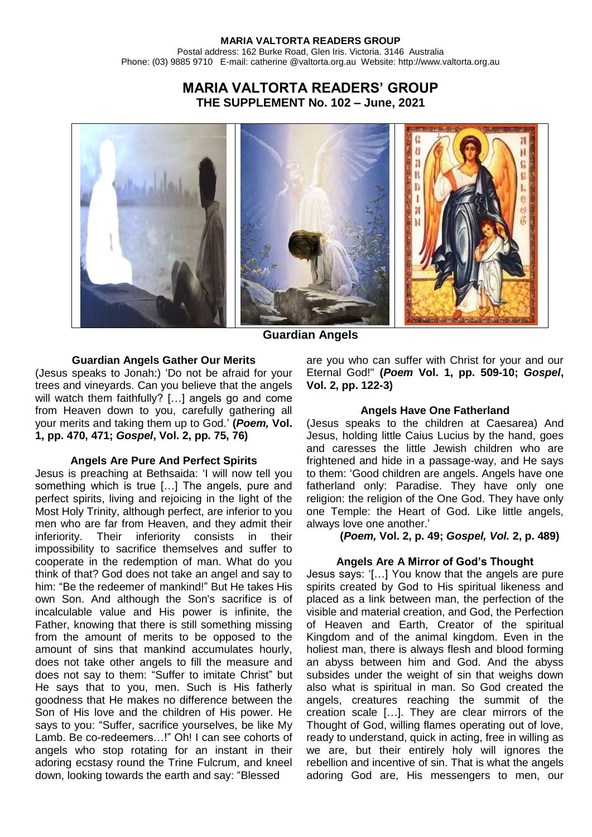# **MARIA VALTORTA READERS' GROUP THE SUPPLEMENT No. 102 – June, 2021**



**Guardian Angels**

## **Guardian Angels Gather Our Merits**

(Jesus speaks to Jonah:) 'Do not be afraid for your trees and vineyards. Can you believe that the angels will watch them faithfully? [...] angels go and come from Heaven down to you, carefully gathering all your merits and taking them up to God.' **(***Poem,* **Vol. 1, pp. 470, 471;** *Gospel***, Vol. 2, pp. 75, 76)**

## **Angels Are Pure And Perfect Spirits**

Jesus is preaching at Bethsaida: 'I will now tell you something which is true […] The angels, pure and perfect spirits, living and rejoicing in the light of the Most Holy Trinity, although perfect, are inferior to you men who are far from Heaven, and they admit their inferiority. Their inferiority consists in their impossibility to sacrifice themselves and suffer to cooperate in the redemption of man. What do you think of that? God does not take an angel and say to him: "Be the redeemer of mankind!" But He takes His own Son. And although the Son's sacrifice is of incalculable value and His power is infinite, the Father, knowing that there is still something missing from the amount of merits to be opposed to the amount of sins that mankind accumulates hourly, does not take other angels to fill the measure and does not say to them: "Suffer to imitate Christ" but He says that to you, men. Such is His fatherly goodness that He makes no difference between the Son of His love and the children of His power. He says to you: "Suffer, sacrifice yourselves, be like My Lamb. Be co-redeemers…!" Oh! I can see cohorts of angels who stop rotating for an instant in their adoring ecstasy round the Trine Fulcrum, and kneel down, looking towards the earth and say: "Blessed

are you who can suffer with Christ for your and our Eternal God!" **(***Poem* **Vol. 1, pp. 509-10;** *Gospel***, Vol. 2, pp. 122-3)**

## **Angels Have One Fatherland**

(Jesus speaks to the children at Caesarea) And Jesus, holding little Caius Lucius by the hand, goes and caresses the little Jewish children who are frightened and hide in a passage-way, and He says to them: 'Good children are angels. Angels have one fatherland only: Paradise. They have only one religion: the religion of the One God. They have only one Temple: the Heart of God. Like little angels, always love one another.'

## **(***Poem,* **Vol. 2, p. 49;** *Gospel, Vol.* **2, p. 489)**

## **Angels Are A Mirror of God's Thought**

Jesus says: '[…] You know that the angels are pure spirits created by God to His spiritual likeness and placed as a link between man, the perfection of the visible and material creation, and God, the Perfection of Heaven and Earth, Creator of the spiritual Kingdom and of the animal kingdom. Even in the holiest man, there is always flesh and blood forming an abyss between him and God. And the abyss subsides under the weight of sin that weighs down also what is spiritual in man. So God created the angels, creatures reaching the summit of the creation scale […]. They are clear mirrors of the Thought of God, willing flames operating out of love, ready to understand, quick in acting, free in willing as we are, but their entirely holy will ignores the rebellion and incentive of sin. That is what the angels adoring God are, His messengers to men, our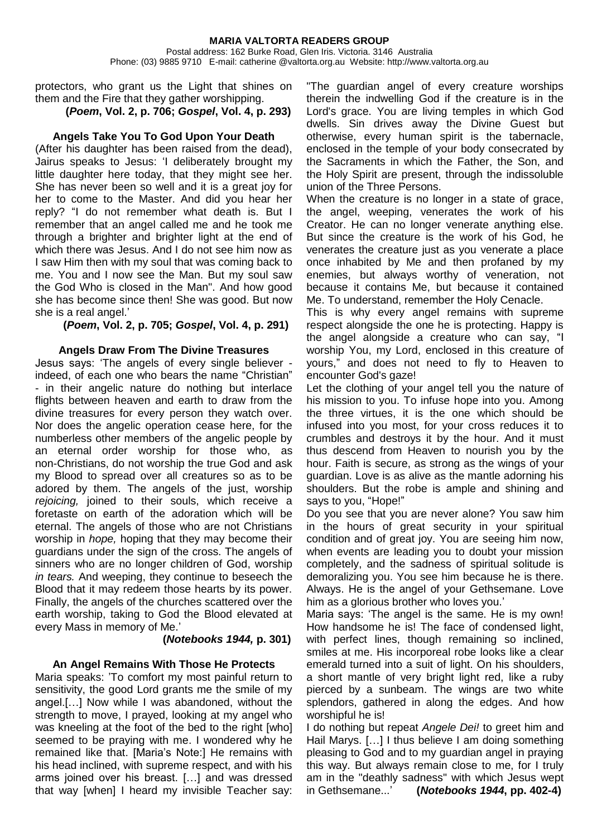## protectors, who grant us the Light that shines on them and the Fire that they gather worshipping.

**(***Poem***, Vol. 2, p. 706;** *Gospel***, Vol. 4, p. 293)**

#### **Angels Take You To God Upon Your Death**

(After his daughter has been raised from the dead), Jairus speaks to Jesus: 'I deliberately brought my little daughter here today, that they might see her. She has never been so well and it is a great joy for her to come to the Master. And did you hear her reply? "I do not remember what death is. But I remember that an angel called me and he took me through a brighter and brighter light at the end of which there was Jesus. And I do not see him now as I saw Him then with my soul that was coming back to me. You and I now see the Man. But my soul saw the God Who is closed in the Man". And how good she has become since then! She was good. But now she is a real angel.'

 **(***Poem***, Vol. 2, p. 705;** *Gospel***, Vol. 4, p. 291)**

#### **Angels Draw From The Divine Treasures**

Jesus says: 'The angels of every single believer indeed, of each one who bears the name "Christian" - in their angelic nature do nothing but interlace flights between heaven and earth to draw from the divine treasures for every person they watch over. Nor does the angelic operation cease here, for the numberless other members of the angelic people by an eternal order worship for those who, as non-Christians, do not worship the true God and ask my Blood to spread over all creatures so as to be adored by them. The angels of the just, worship *rejoicing,* joined to their souls, which receive a foretaste on earth of the adoration which will be eternal. The angels of those who are not Christians worship in *hope,* hoping that they may become their guardians under the sign of the cross. The angels of sinners who are no longer children of God, worship *in tears.* And weeping, they continue to beseech the Blood that it may redeem those hearts by its power. Finally, the angels of the churches scattered over the earth worship, taking to God the Blood elevated at every Mass in memory of Me.'

#### **(***Notebooks 1944,* **p. 301)**

## **An Angel Remains With Those He Protects**

Maria speaks: 'To comfort my most painful return to sensitivity, the good Lord grants me the smile of my angel.[…] Now while I was abandoned, without the strength to move, I prayed, looking at my angel who was kneeling at the foot of the bed to the right [who] seemed to be praying with me. I wondered why he remained like that. [Maria's Note:] He remains with his head inclined, with supreme respect, and with his arms joined over his breast. […] and was dressed that way [when] I heard my invisible Teacher say:

"The guardian angel of every creature worships therein the indwelling God if the creature is in the Lord's grace. You are living temples in which God dwells. Sin drives away the Divine Guest but otherwise, every human spirit is the tabernacle, enclosed in the temple of your body consecrated by the Sacraments in which the Father, the Son, and the Holy Spirit are present, through the indissoluble union of the Three Persons.

When the creature is no longer in a state of grace, the angel, weeping, venerates the work of his Creator. He can no longer venerate anything else. But since the creature is the work of his God, he venerates the creature just as you venerate a place once inhabited by Me and then profaned by my enemies, but always worthy of veneration, not because it contains Me, but because it contained Me. To understand, remember the Holy Cenacle.

This is why every angel remains with supreme respect alongside the one he is protecting. Happy is the angel alongside a creature who can say, "I worship You, my Lord, enclosed in this creature of yours," and does not need to fly to Heaven to encounter God's gaze!

Let the clothing of your angel tell you the nature of his mission to you. To infuse hope into you. Among the three virtues, it is the one which should be infused into you most, for your cross reduces it to crumbles and destroys it by the hour. And it must thus descend from Heaven to nourish you by the hour. Faith is secure, as strong as the wings of your guardian. Love is as alive as the mantle adorning his shoulders. But the robe is ample and shining and says to you, "Hope!"

Do you see that you are never alone? You saw him in the hours of great security in your spiritual condition and of great joy. You are seeing him now, when events are leading you to doubt your mission completely, and the sadness of spiritual solitude is demoralizing you. You see him because he is there. Always. He is the angel of your Gethsemane. Love him as a glorious brother who loves you.'

Maria says: 'The angel is the same. He is my own! How handsome he is! The face of condensed light, with perfect lines, though remaining so inclined, smiles at me. His incorporeal robe looks like a clear emerald turned into a suit of light. On his shoulders, a short mantle of very bright light red, like a ruby pierced by a sunbeam. The wings are two white splendors, gathered in along the edges. And how worshipful he is!

I do nothing but repeat *Angele Dei!* to greet him and Hail Marys. […] I thus believe I am doing something pleasing to God and to my guardian angel in praying this way. But always remain close to me, for I truly am in the "deathly sadness" with which Jesus wept in Gethsemane...' **(***Notebooks 1944***, pp. 402-4)**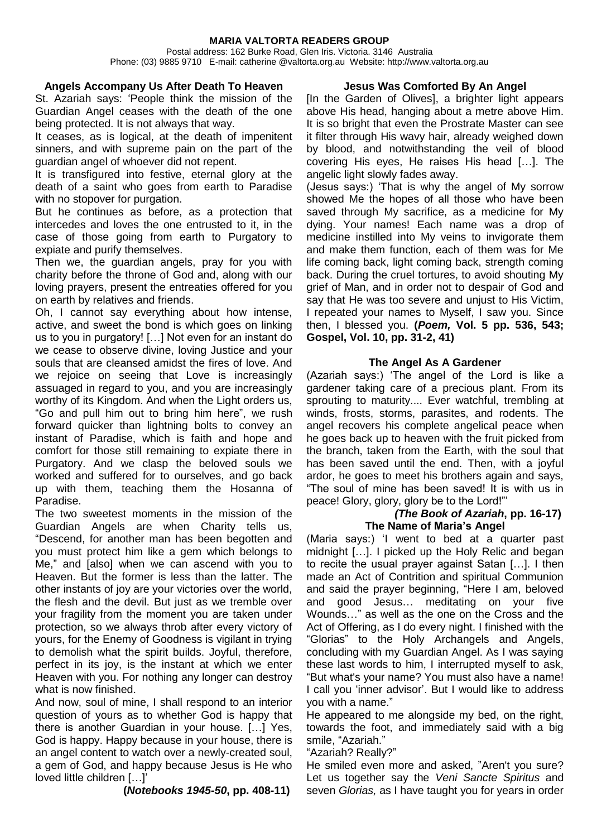#### **MARIA VALTORTA READERS GROUP**

Postal address: 162 Burke Road, Glen Iris. Victoria. 3146 Australia Phone: (03) 9885 9710 E-mail: catherine @valtorta.org.au Website: http://www.valtorta.org.au

#### **Angels Accompany Us After Death To Heaven**

St. Azariah says: 'People think the mission of the Guardian Angel ceases with the death of the one being protected. It is not always that way.

It ceases, as is logical, at the death of impenitent sinners, and with supreme pain on the part of the guardian angel of whoever did not repent.

It is transfigured into festive, eternal glory at the death of a saint who goes from earth to Paradise with no stopover for purgation.

But he continues as before, as a protection that intercedes and loves the one entrusted to it, in the case of those going from earth to Purgatory to expiate and purify themselves.

Then we, the guardian angels, pray for you with charity before the throne of God and, along with our loving prayers, present the entreaties offered for you on earth by relatives and friends.

Oh, I cannot say everything about how intense, active, and sweet the bond is which goes on linking us to you in purgatory! […] Not even for an instant do we cease to observe divine, loving Justice and your souls that are cleansed amidst the fires of love. And we rejoice on seeing that Love is increasingly assuaged in regard to you, and you are increasingly worthy of its Kingdom. And when the Light orders us, "Go and pull him out to bring him here", we rush forward quicker than lightning bolts to convey an instant of Paradise, which is faith and hope and comfort for those still remaining to expiate there in Purgatory. And we clasp the beloved souls we worked and suffered for to ourselves, and go back up with them, teaching them the Hosanna of Paradise.

The two sweetest moments in the mission of the Guardian Angels are when Charity tells us, "Descend, for another man has been begotten and you must protect him like a gem which belongs to Me," and [also] when we can ascend with you to Heaven. But the former is less than the latter. The other instants of joy are your victories over the world, the flesh and the devil. But just as we tremble over your fragility from the moment you are taken under protection, so we always throb after every victory of yours, for the Enemy of Goodness is vigilant in trying to demolish what the spirit builds. Joyful, therefore, perfect in its joy, is the instant at which we enter Heaven with you. For nothing any longer can destroy what is now finished.

And now, soul of mine, I shall respond to an interior question of yours as to whether God is happy that there is another Guardian in your house. […] Yes, God is happy. Happy because in your house, there is an angel content to watch over a newly-created soul, a gem of God, and happy because Jesus is He who loved little children […]'

 **(***Notebooks 1945-50***, pp. 408-11)**

## **Jesus Was Comforted By An Angel**

[In the Garden of Olives], a brighter light appears above His head, hanging about a metre above Him. It is so bright that even the Prostrate Master can see it filter through His wavy hair, already weighed down by blood, and notwithstanding the veil of blood covering His eyes, He raises His head […]. The angelic light slowly fades away.

(Jesus says:) 'That is why the angel of My sorrow showed Me the hopes of all those who have been saved through My sacrifice, as a medicine for My dying. Your names! Each name was a drop of medicine instilled into My veins to invigorate them and make them function, each of them was for Me life coming back, light coming back, strength coming back. During the cruel tortures, to avoid shouting My grief of Man, and in order not to despair of God and say that He was too severe and unjust to His Victim, I repeated your names to Myself, I saw you. Since then, I blessed you. **(***Poem,* **Vol. 5 pp. 536, 543; Gospel, Vol. 10, pp. 31-2, 41)**

## **The Angel As A Gardener**

(Azariah says:) 'The angel of the Lord is like a gardener taking care of a precious plant. From its sprouting to maturity.... Ever watchful, trembling at winds, frosts, storms, parasites, and rodents. The angel recovers his complete angelical peace when he goes back up to heaven with the fruit picked from the branch, taken from the Earth, with the soul that has been saved until the end. Then, with a joyful ardor, he goes to meet his brothers again and says, "The soul of mine has been saved! It is with us in peace! Glory, glory, glory be to the Lord!"'

#### *(The Book of Azariah***, pp. 16-17) The Name of Maria's Angel**

(Maria says:) 'I went to bed at a quarter past midnight […]. I picked up the Holy Relic and began to recite the usual prayer against Satan […]. I then made an Act of Contrition and spiritual Communion and said the prayer beginning, "Here I am, beloved and good Jesus… meditating on your five Wounds…" as well as the one on the Cross and the Act of Offering, as I do every night. I finished with the "Glorias" to the Holy Archangels and Angels, concluding with my Guardian Angel. As I was saying these last words to him, I interrupted myself to ask, "But what's your name? You must also have a name! I call you 'inner advisor'. But I would like to address you with a name."

He appeared to me alongside my bed, on the right, towards the foot, and immediately said with a big smile, "Azariah."

#### "Azariah? Really?"

He smiled even more and asked, "Aren't you sure? Let us together say the *Veni Sancte Spiritus* and seven *Glorias,* as I have taught you for years in order